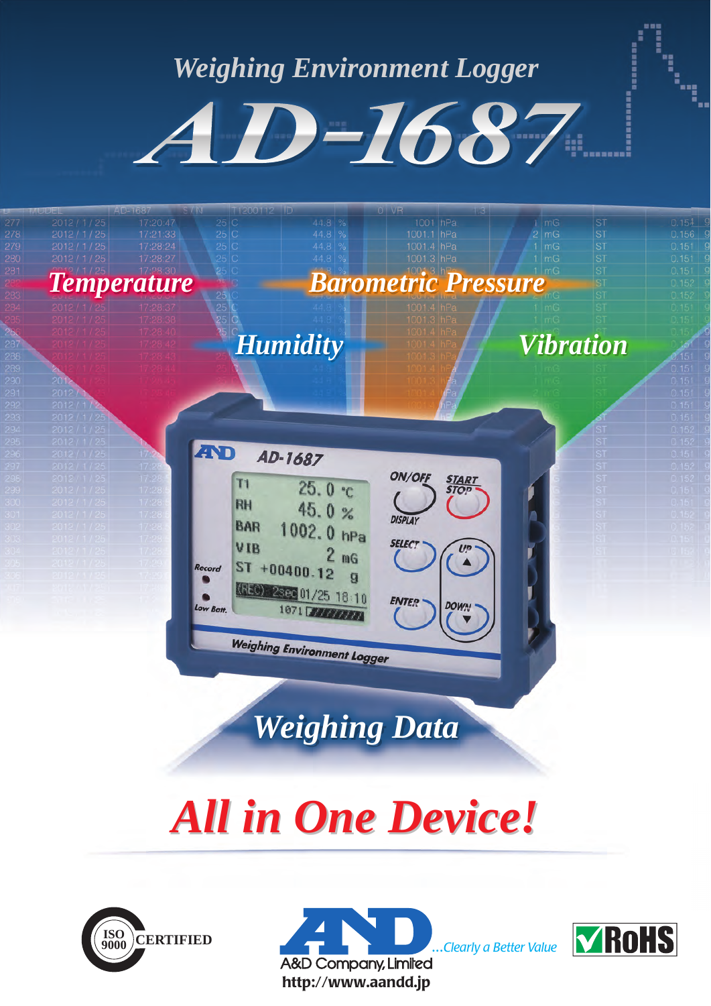## *Weighing Environment Logger*

AD-1687

*Humidity Vibration*

ON/OFF

**DISPLA** 

**SELECT** 

**ENTER** 

**DOW** 

1001 hPa<br>1001.1 hPa

*Temperature Barometric Pressure*

AD-1687

 $ST + 00400.12$ 

4330 2393 01/25 18:10

 $25.0 °c$ 

45.0%

1002.0 hPa

1871 77777777

**Weighing Environment Logger** 

 $2<sub>mg</sub>$ 

 $\mathbf{q}$ 

**AND** 

Record

 $T1$ 

**RH** 

**BAR** 

VIB

*Weighing Data*

# *All in One Device! All in One Device!*





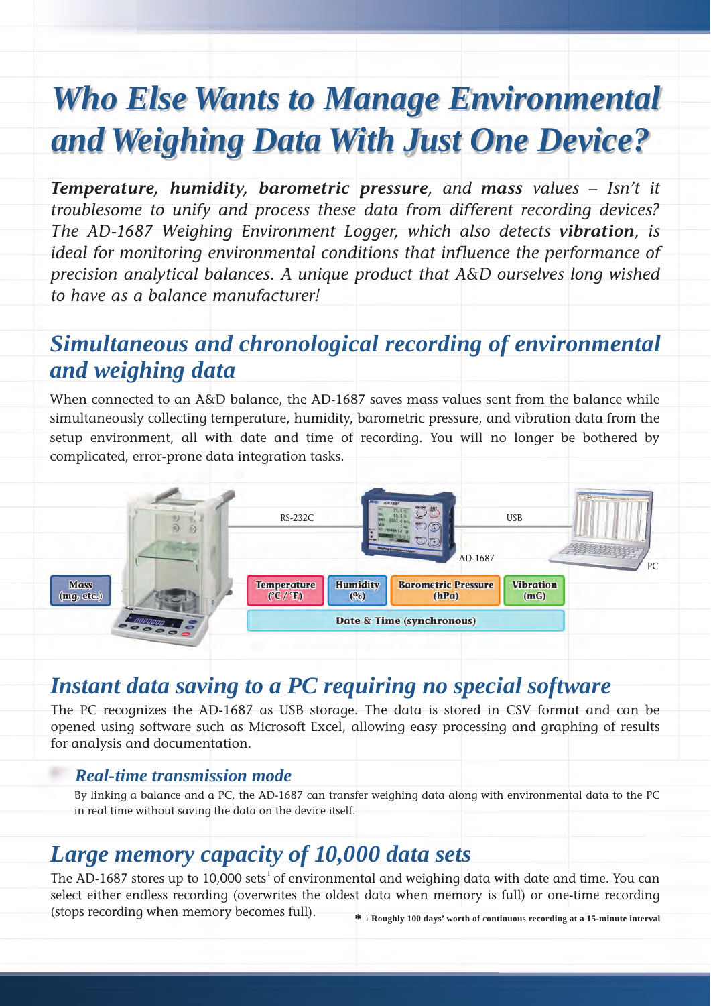## *Who Else Wants to Manage Environmental and Weighing Data With Just One Device?*

*Temperature, humidity, barometric pressure, and mass values – Isn't it troublesome to unify and process these data from different recording devices? The AD-1687 Weighing Environment Logger, which also detects vibration, is ideal for monitoring environmental conditions that influence the performance of precision analytical balances. A unique product that A&D ourselves long wished to have as a balance manufacturer!*

## *Simultaneous and chronological recording of environmental and weighing data*

When connected to an A&D balance, the AD-1687 saves mass values sent from the balance while simultaneously collecting temperature, humidity, barometric pressure, and vibration data from the setup environment, all with date and time of recording. You will no longer be bothered by complicated, error-prone data integration tasks.



## *Instant data saving to a PC requiring no special software*

The PC recognizes the AD-1687 as USB storage. The data is stored in CSV format and can be opened using software such as Microsoft Excel, allowing easy processing and graphing of results for analysis and documentation.

#### *Real-time transmission mode*

By linking a balance and a PC, the AD-1687 can transfer weighing data along with environmental data to the PC in real time without saving the data on the device itself.

## *Large memory capacity of 10,000 data sets*

The AD-1687 stores up to 10,000 sets $^{\rm i}$  of environmental and weighing data with date and time. You can select either endless recording (overwrites the oldest data when memory is full) or one-time recording (stops recording when memory becomes full).

**\***<sup>i</sup>**Roughly 100 days' worth of continuous recording at a 15-minute interval**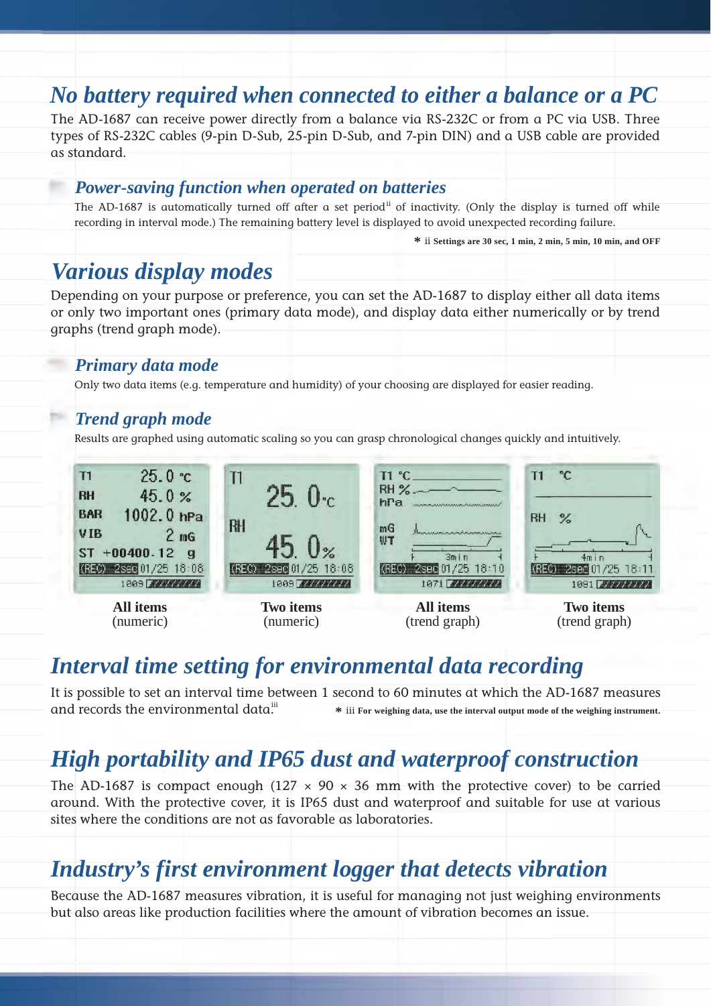## *No battery required when connected to either a balance or a PC*

The AD-1687 can receive power directly from a balance via RS-232C or from a PC via USB. Three types of RS-232C cables (9-pin D-Sub, 25-pin D-Sub, and 7-pin DIN) and a USB cable are provided as standard.

#### *Power-saving function when operated on batteries*

The AD-1687 is automatically turned off after a set period<sup>ii</sup> of inactivity. (Only the display is turned off while recording in interval mode.) The remaining battery level is displayed to avoid unexpected recording failure.

**\*** ii **Settings are 30 sec, 1 min, 2 min, 5 min, 10 min, and OFF**

## *Various display modes*

Depending on your purpose or preference, you can set the AD-1687 to display either all data items or only two important ones (primary data mode), and display data either numerically or by trend graphs (trend graph mode).

#### *Primary data mode*

Only two data items (e.g. temperature and humidity) of your choosing are displayed for easier reading.

#### *Trend graph mode*

Results are graphed using automatic scaling so you can grasp chronological changes quickly and intuitively.



## *Interval time setting for environmental data recording*

It is possible to set an interval time between 1 second to 60 minutes at which the AD-1687 measures and records the environmental data. **\*** iii **For weighing data, use the interval output mode of the weighing instrument.** iii

## *High portability and IP65 dust and waterproof construction*

The AD-1687 is compact enough (127  $\times$  90  $\times$  36 mm with the protective cover) to be carried around. With the protective cover, it is IP65 dust and waterproof and suitable for use at various sites where the conditions are not as favorable as laboratories.

## *Industry's first environment logger that detects vibration*

Because the AD-1687 measures vibration, it is useful for managing not just weighing environments but also areas like production facilities where the amount of vibration becomes an issue.